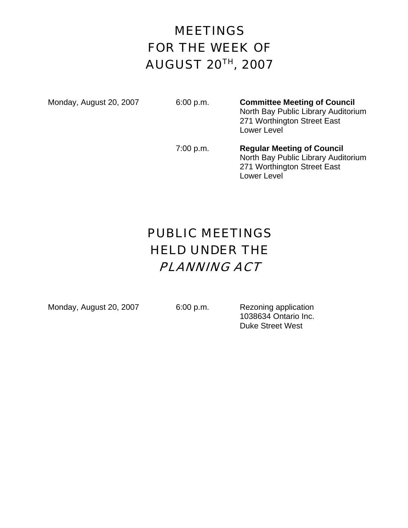# MEETINGS FOR THE WEEK OF AUGUST 20TH, 2007

Monday, August 20, 2007 6:00 p.m. **Committee Meeting of Council** North Bay Public Library Auditorium 271 Worthington Street East Lower Level

> 7:00 p.m. **Regular Meeting of Council** North Bay Public Library Auditorium 271 Worthington Street East Lower Level

# PUBLIC MEETINGS HELD UNDER THE PLANNING ACT

Monday, August 20, 2007 6:00 p.m. Rezoning application

 1038634 Ontario Inc. Duke Street West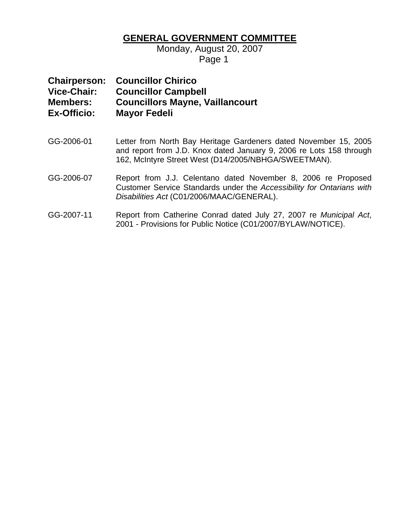### **GENERAL GOVERNMENT COMMITTEE**

Monday, August 20, 2007 Page 1

### **Chairperson: Councillor Chirico Vice-Chair: Councillor Campbell Members: Councillors Mayne, Vaillancourt Ex-Officio: Mayor Fedeli**

- GG-2006-01 Letter from North Bay Heritage Gardeners dated November 15, 2005 and report from J.D. Knox dated January 9, 2006 re Lots 158 through 162, McIntyre Street West (D14/2005/NBHGA/SWEETMAN).
- GG-2006-07 Report from J.J. Celentano dated November 8, 2006 re Proposed Customer Service Standards under the *Accessibility for Ontarians with Disabilities Act* (C01/2006/MAAC/GENERAL).
- GG-2007-11 Report from Catherine Conrad dated July 27, 2007 re *Municipal Act*, 2001 - Provisions for Public Notice (C01/2007/BYLAW/NOTICE).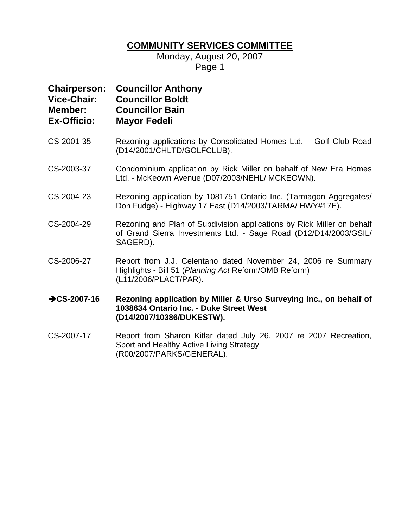### **COMMUNITY SERVICES COMMITTEE**

Monday, August 20, 2007 Page 1

|                    | <b>Chairperson: Councillor Anthony</b> |
|--------------------|----------------------------------------|
| <b>Vice-Chair:</b> | <b>Councillor Boldt</b>                |
| <b>Member:</b>     | <b>Councillor Bain</b>                 |
| <b>Ex-Officio:</b> | <b>Mayor Fedeli</b>                    |

- CS-2001-35 Rezoning applications by Consolidated Homes Ltd. Golf Club Road (D14/2001/CHLTD/GOLFCLUB).
- CS-2003-37 Condominium application by Rick Miller on behalf of New Era Homes Ltd. - McKeown Avenue (D07/2003/NEHL/ MCKEOWN).
- CS-2004-23 Rezoning application by 1081751 Ontario Inc. (Tarmagon Aggregates/ Don Fudge) - Highway 17 East (D14/2003/TARMA/ HWY#17E).
- CS-2004-29 Rezoning and Plan of Subdivision applications by Rick Miller on behalf of Grand Sierra Investments Ltd. - Sage Road (D12/D14/2003/GSIL/ SAGERD).
- CS-2006-27 Report from J.J. Celentano dated November 24, 2006 re Summary Highlights - Bill 51 (*Planning Act* Reform/OMB Reform) (L11/2006/PLACT/PAR).
- **→ CS-2007-16** Rezoning application by Miller & Urso Surveying Inc., on behalf of **1038634 Ontario Inc. - Duke Street West (D14/2007/10386/DUKESTW).**
- CS-2007-17 Report from Sharon Kitlar dated July 26, 2007 re 2007 Recreation, Sport and Healthy Active Living Strategy (R00/2007/PARKS/GENERAL).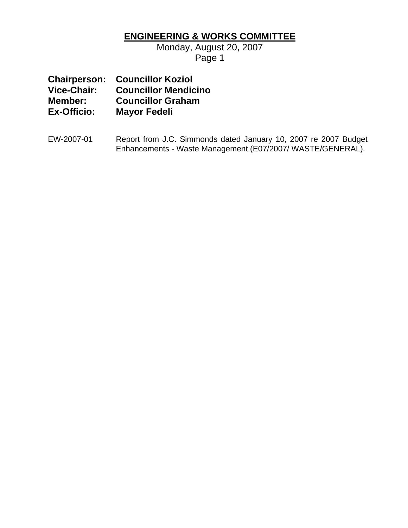## **ENGINEERING & WORKS COMMITTEE**

Monday, August 20, 2007 Page 1

| <b>Chairperson:</b> | <b>Councillor Koziol</b>    |
|---------------------|-----------------------------|
| Vice-Chair:         | <b>Councillor Mendicino</b> |
| Member:             | <b>Councillor Graham</b>    |
| Ex-Officio:         | <b>Mayor Fedeli</b>         |

EW-2007-01 Report from J.C. Simmonds dated January 10, 2007 re 2007 Budget Enhancements - Waste Management (E07/2007/ WASTE/GENERAL).